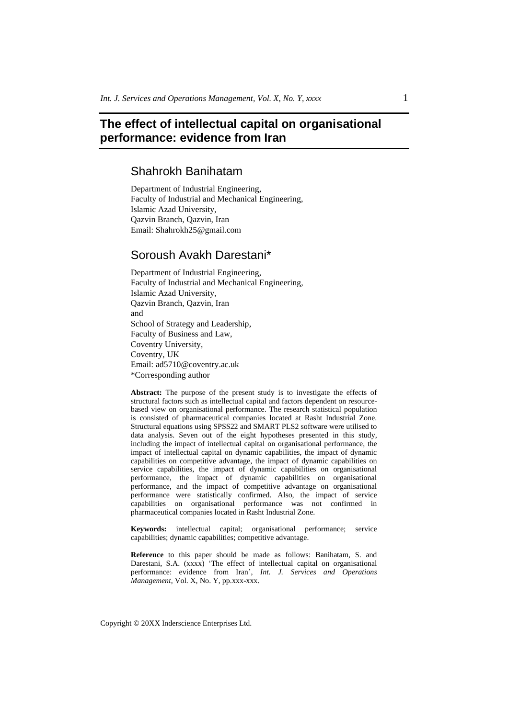# **The effect of intellectual capital on organisational performance: evidence from Iran**

# Shahrokh Banihatam

Department of Industrial Engineering, Faculty of Industrial and Mechanical Engineering, Islamic Azad University, Qazvin Branch, Qazvin, Iran Email: Shahrokh25@gmail.com

# Soroush Avakh Darestani\*

Department of Industrial Engineering, Faculty of Industrial and Mechanical Engineering, Islamic Azad University, Qazvin Branch, Qazvin, Iran and School of Strategy and Leadership, Faculty of Business and Law, Coventry University, Coventry, UK Email: ad5710@coventry.ac.uk \*Corresponding author

**Abstract:** The purpose of the present study is to investigate the effects of structural factors such as intellectual capital and factors dependent on resourcebased view on organisational performance. The research statistical population is consisted of pharmaceutical companies located at Rasht Industrial Zone. Structural equations using SPSS22 and SMART PLS2 software were utilised to data analysis. Seven out of the eight hypotheses presented in this study, including the impact of intellectual capital on organisational performance, the impact of intellectual capital on dynamic capabilities, the impact of dynamic capabilities on competitive advantage, the impact of dynamic capabilities on service capabilities, the impact of dynamic capabilities on organisational performance, the impact of dynamic capabilities on organisational performance, and the impact of competitive advantage on organisational performance were statistically confirmed. Also, the impact of service capabilities on organisational performance was not confirmed in pharmaceutical companies located in Rasht Industrial Zone.

**Keywords:** intellectual capital; organisational performance; service capabilities; dynamic capabilities; competitive advantage.

**Reference** to this paper should be made as follows: Banihatam, S. and Darestani, S.A. (xxxx) 'The effect of intellectual capital on organisational performance: evidence from Iran', *Int. J. Services and Operations Management*, Vol. X, No. Y, pp.xxx-xxx.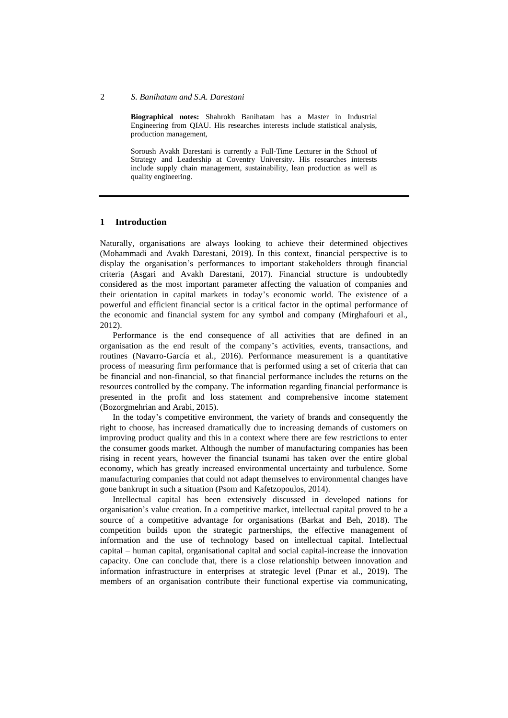**Biographical notes:** Shahrokh Banihatam has a Master in Industrial Engineering from QIAU. His researches interests include statistical analysis, production management,

Soroush Avakh Darestani is currently a Full-Time Lecturer in the School of Strategy and Leadership at Coventry University. His researches interests include supply chain management, sustainability, lean production as well as quality engineering.

#### **1 Introduction**

Naturally, organisations are always looking to achieve their determined objectives (Mohammadi and Avakh Darestani, 2019). In this context, financial perspective is to display the organisation's performances to important stakeholders through financial criteria (Asgari and Avakh Darestani, 2017). Financial structure is undoubtedly considered as the most important parameter affecting the valuation of companies and their orientation in capital markets in today's economic world. The existence of a powerful and efficient financial sector is a critical factor in the optimal performance of the economic and financial system for any symbol and company (Mirghafouri et al., 2012).

Performance is the end consequence of all activities that are defined in an organisation as the end result of the company's activities, events, transactions, and routines (Navarro-García et al., 2016). Performance measurement is a quantitative process of measuring firm performance that is performed using a set of criteria that can be financial and non-financial, so that financial performance includes the returns on the resources controlled by the company. The information regarding financial performance is presented in the profit and loss statement and comprehensive income statement (Bozorgmehrian and Arabi, 2015).

In the today's competitive environment, the variety of brands and consequently the right to choose, has increased dramatically due to increasing demands of customers on improving product quality and this in a context where there are few restrictions to enter the consumer goods market. Although the number of manufacturing companies has been rising in recent years, however the financial tsunami has taken over the entire global economy, which has greatly increased environmental uncertainty and turbulence. Some manufacturing companies that could not adapt themselves to environmental changes have gone bankrupt in such a situation (Psom and Kafetzopoulos, 2014).

Intellectual capital has been extensively discussed in developed nations for organisation's value creation. In a competitive market, intellectual capital proved to be a source of a competitive advantage for organisations (Barkat and Beh, 2018). The competition builds upon the strategic partnerships, the effective management of information and the use of technology based on intellectual capital. Intellectual capital – human capital, organisational capital and social capital-increase the innovation capacity. One can conclude that, there is a close relationship between innovation and information infrastructure in enterprises at strategic level (Pınar et al., 2019). The members of an organisation contribute their functional expertise via communicating,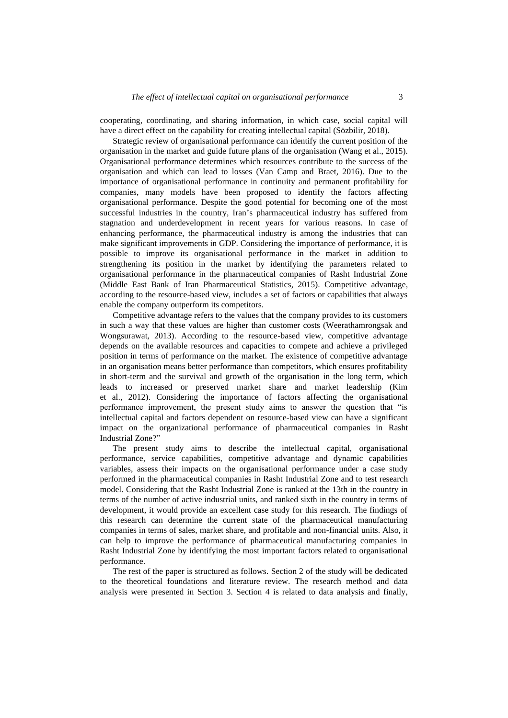cooperating, coordinating, and sharing information, in which case, social capital will have a direct effect on the capability for creating intellectual capital (Sözbilir, 2018).

Strategic review of organisational performance can identify the current position of the organisation in the market and guide future plans of the organisation (Wang et al., 2015). Organisational performance determines which resources contribute to the success of the organisation and which can lead to losses (Van Camp and Braet, 2016). Due to the importance of organisational performance in continuity and permanent profitability for companies, many models have been proposed to identify the factors affecting organisational performance. Despite the good potential for becoming one of the most successful industries in the country, Iran's pharmaceutical industry has suffered from stagnation and underdevelopment in recent years for various reasons. In case of enhancing performance, the pharmaceutical industry is among the industries that can make significant improvements in GDP. Considering the importance of performance, it is possible to improve its organisational performance in the market in addition to strengthening its position in the market by identifying the parameters related to organisational performance in the pharmaceutical companies of Rasht Industrial Zone (Middle East Bank of Iran Pharmaceutical Statistics, 2015). Competitive advantage, according to the resource-based view, includes a set of factors or capabilities that always enable the company outperform its competitors.

Competitive advantage refers to the values that the company provides to its customers in such a way that these values are higher than customer costs (Weerathamrongsak and Wongsurawat, 2013). According to the resource-based view, competitive advantage depends on the available resources and capacities to compete and achieve a privileged position in terms of performance on the market. The existence of competitive advantage in an organisation means better performance than competitors, which ensures profitability in short-term and the survival and growth of the organisation in the long term, which leads to increased or preserved market share and market leadership (Kim et al., 2012). Considering the importance of factors affecting the organisational performance improvement, the present study aims to answer the question that "is intellectual capital and factors dependent on resource-based view can have a significant impact on the organizational performance of pharmaceutical companies in Rasht Industrial Zone?"

The present study aims to describe the intellectual capital, organisational performance, service capabilities, competitive advantage and dynamic capabilities variables, assess their impacts on the organisational performance under a case study performed in the pharmaceutical companies in Rasht Industrial Zone and to test research model. Considering that the Rasht Industrial Zone is ranked at the 13th in the country in terms of the number of active industrial units, and ranked sixth in the country in terms of development, it would provide an excellent case study for this research. The findings of this research can determine the current state of the pharmaceutical manufacturing companies in terms of sales, market share, and profitable and non-financial units. Also, it can help to improve the performance of pharmaceutical manufacturing companies in Rasht Industrial Zone by identifying the most important factors related to organisational performance.

The rest of the paper is structured as follows. Section 2 of the study will be dedicated to the theoretical foundations and literature review. The research method and data analysis were presented in Section 3. Section 4 is related to data analysis and finally,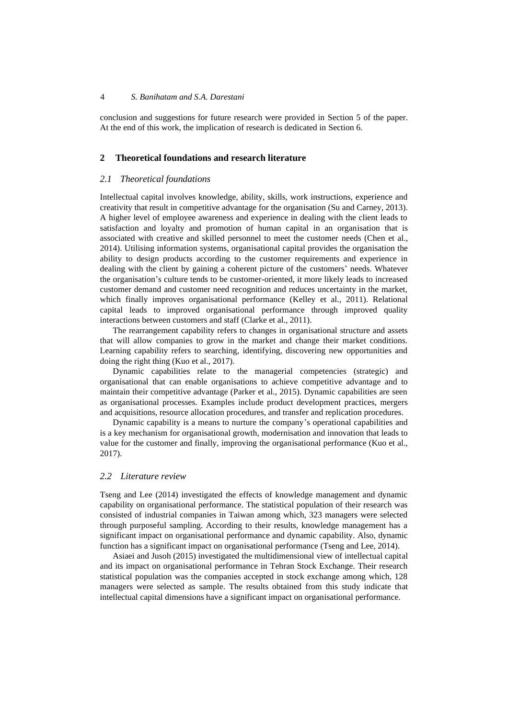conclusion and suggestions for future research were provided in Section 5 of the paper. At the end of this work, the implication of research is dedicated in Section 6.

# **2 Theoretical foundations and research literature**

#### *2.1 Theoretical foundations*

Intellectual capital involves knowledge, ability, skills, work instructions, experience and creativity that result in competitive advantage for the organisation (Su and Carney, 2013). A higher level of employee awareness and experience in dealing with the client leads to satisfaction and loyalty and promotion of human capital in an organisation that is associated with creative and skilled personnel to meet the customer needs (Chen et al., 2014). Utilising information systems, organisational capital provides the organisation the ability to design products according to the customer requirements and experience in dealing with the client by gaining a coherent picture of the customers' needs. Whatever the organisation's culture tends to be customer-oriented, it more likely leads to increased customer demand and customer need recognition and reduces uncertainty in the market, which finally improves organisational performance (Kelley et al., 2011). Relational capital leads to improved organisational performance through improved quality interactions between customers and staff (Clarke et al., 2011).

The rearrangement capability refers to changes in organisational structure and assets that will allow companies to grow in the market and change their market conditions. Learning capability refers to searching, identifying, discovering new opportunities and doing the right thing (Kuo et al., 2017).

Dynamic capabilities relate to the managerial competencies (strategic) and organisational that can enable organisations to achieve competitive advantage and to maintain their competitive advantage (Parker et al., 2015). Dynamic capabilities are seen as organisational processes. Examples include product development practices, mergers and acquisitions, resource allocation procedures, and transfer and replication procedures.

Dynamic capability is a means to nurture the company's operational capabilities and is a key mechanism for organisational growth, modernisation and innovation that leads to value for the customer and finally, improving the organisational performance (Kuo et al., 2017).

## *2.2 Literature review*

Tseng and Lee (2014) investigated the effects of knowledge management and dynamic capability on organisational performance. The statistical population of their research was consisted of industrial companies in Taiwan among which, 323 managers were selected through purposeful sampling. According to their results, knowledge management has a significant impact on organisational performance and dynamic capability. Also, dynamic function has a significant impact on organisational performance (Tseng and Lee, 2014).

Asiaei and Jusoh (2015) investigated the multidimensional view of intellectual capital and its impact on organisational performance in Tehran Stock Exchange. Their research statistical population was the companies accepted in stock exchange among which, 128 managers were selected as sample. The results obtained from this study indicate that intellectual capital dimensions have a significant impact on organisational performance.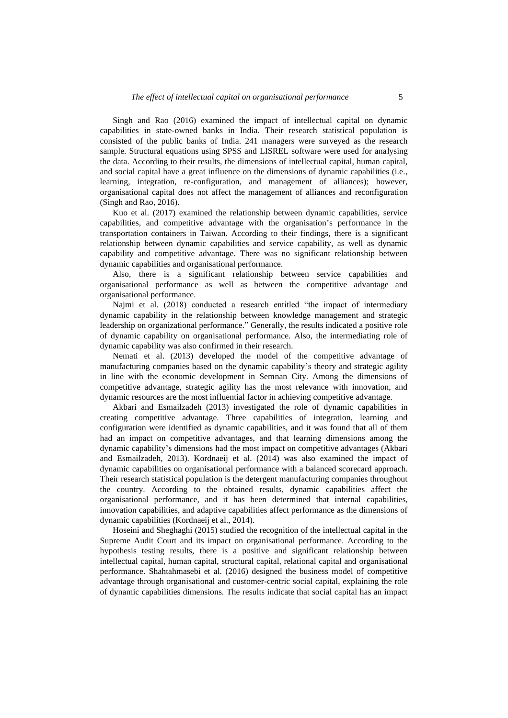Singh and Rao (2016) examined the impact of intellectual capital on dynamic capabilities in state-owned banks in India. Their research statistical population is consisted of the public banks of India. 241 managers were surveyed as the research sample. Structural equations using SPSS and LISREL software were used for analysing the data. According to their results, the dimensions of intellectual capital, human capital, and social capital have a great influence on the dimensions of dynamic capabilities (i.e., learning, integration, re-configuration, and management of alliances); however, organisational capital does not affect the management of alliances and reconfiguration (Singh and Rao, 2016).

Kuo et al. (2017) examined the relationship between dynamic capabilities, service capabilities, and competitive advantage with the organisation's performance in the transportation containers in Taiwan. According to their findings, there is a significant relationship between dynamic capabilities and service capability, as well as dynamic capability and competitive advantage. There was no significant relationship between dynamic capabilities and organisational performance.

Also, there is a significant relationship between service capabilities and organisational performance as well as between the competitive advantage and organisational performance.

Najmi et al. (2018) conducted a research entitled "the impact of intermediary dynamic capability in the relationship between knowledge management and strategic leadership on organizational performance." Generally, the results indicated a positive role of dynamic capability on organisational performance. Also, the intermediating role of dynamic capability was also confirmed in their research.

Nemati et al. (2013) developed the model of the competitive advantage of manufacturing companies based on the dynamic capability's theory and strategic agility in line with the economic development in Semnan City. Among the dimensions of competitive advantage, strategic agility has the most relevance with innovation, and dynamic resources are the most influential factor in achieving competitive advantage.

Akbari and Esmailzadeh (2013) investigated the role of dynamic capabilities in creating competitive advantage. Three capabilities of integration, learning and configuration were identified as dynamic capabilities, and it was found that all of them had an impact on competitive advantages, and that learning dimensions among the dynamic capability's dimensions had the most impact on competitive advantages (Akbari and Esmailzadeh, 2013). Kordnaeij et al. (2014) was also examined the impact of dynamic capabilities on organisational performance with a balanced scorecard approach. Their research statistical population is the detergent manufacturing companies throughout the country. According to the obtained results, dynamic capabilities affect the organisational performance, and it has been determined that internal capabilities, innovation capabilities, and adaptive capabilities affect performance as the dimensions of dynamic capabilities (Kordnaeij et al., 2014).

Hoseini and Sheghaghi (2015) studied the recognition of the intellectual capital in the Supreme Audit Court and its impact on organisational performance. According to the hypothesis testing results, there is a positive and significant relationship between intellectual capital, human capital, structural capital, relational capital and organisational performance. Shahtahmasebi et al. (2016) designed the business model of competitive advantage through organisational and customer-centric social capital, explaining the role of dynamic capabilities dimensions. The results indicate that social capital has an impact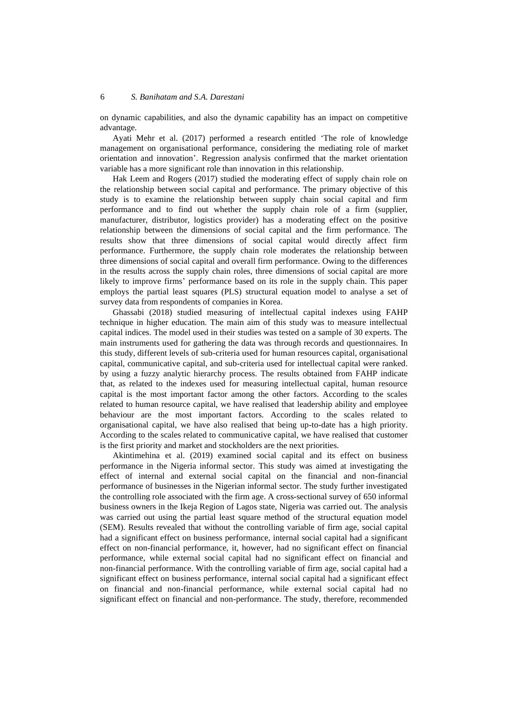on dynamic capabilities, and also the dynamic capability has an impact on competitive advantage.

Ayati Mehr et al. (2017) performed a research entitled 'The role of knowledge management on organisational performance, considering the mediating role of market orientation and innovation'. Regression analysis confirmed that the market orientation variable has a more significant role than innovation in this relationship.

Hak Leem and Rogers (2017) studied the moderating effect of supply chain role on the relationship between social capital and performance. The primary objective of this study is to examine the relationship between supply chain social capital and firm performance and to find out whether the supply chain role of a firm (supplier, manufacturer, distributor, logistics provider) has a moderating effect on the positive relationship between the dimensions of social capital and the firm performance. The results show that three dimensions of social capital would directly affect firm performance. Furthermore, the supply chain role moderates the relationship between three dimensions of social capital and overall firm performance. Owing to the differences in the results across the supply chain roles, three dimensions of social capital are more likely to improve firms' performance based on its role in the supply chain. This paper employs the partial least squares (PLS) structural equation model to analyse a set of survey data from respondents of companies in Korea.

Ghassabi (2018) studied measuring of intellectual capital indexes using FAHP technique in higher education. The main aim of this study was to measure intellectual capital indices. The model used in their studies was tested on a sample of 30 experts. The main instruments used for gathering the data was through records and questionnaires. In this study, different levels of sub-criteria used for human resources capital, organisational capital, communicative capital, and sub-criteria used for intellectual capital were ranked. by using a fuzzy analytic hierarchy process. The results obtained from FAHP indicate that, as related to the indexes used for measuring intellectual capital, human resource capital is the most important factor among the other factors. According to the scales related to human resource capital, we have realised that leadership ability and employee behaviour are the most important factors. According to the scales related to organisational capital, we have also realised that being up-to-date has a high priority. According to the scales related to communicative capital, we have realised that customer is the first priority and market and stockholders are the next priorities.

Akintimehina et al. (2019) examined social capital and its effect on business performance in the Nigeria informal sector. This study was aimed at investigating the effect of internal and external social capital on the financial and non-financial performance of businesses in the Nigerian informal sector. The study further investigated the controlling role associated with the firm age. A cross-sectional survey of 650 informal business owners in the Ikeja Region of Lagos state, Nigeria was carried out. The analysis was carried out using the partial least square method of the structural equation model (SEM). Results revealed that without the controlling variable of firm age, social capital had a significant effect on business performance, internal social capital had a significant effect on non-financial performance, it, however, had no significant effect on financial performance, while external social capital had no significant effect on financial and non-financial performance. With the controlling variable of firm age, social capital had a significant effect on business performance, internal social capital had a significant effect on financial and non-financial performance, while external social capital had no significant effect on financial and non-performance. The study, therefore, recommended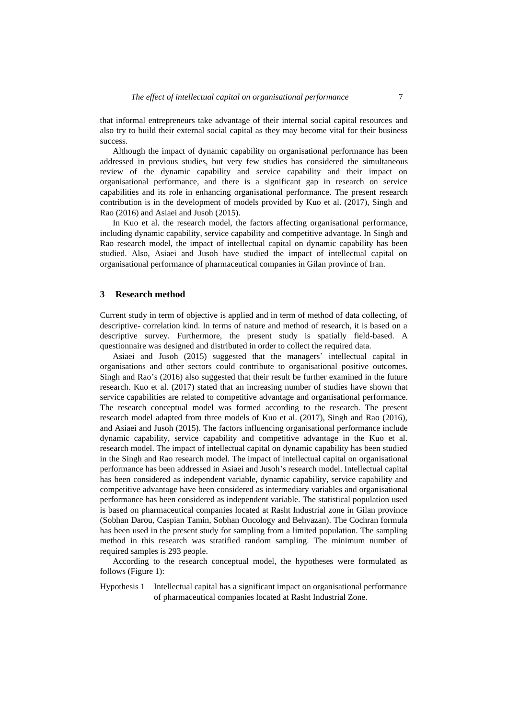that informal entrepreneurs take advantage of their internal social capital resources and also try to build their external social capital as they may become vital for their business success.

Although the impact of dynamic capability on organisational performance has been addressed in previous studies, but very few studies has considered the simultaneous review of the dynamic capability and service capability and their impact on organisational performance, and there is a significant gap in research on service capabilities and its role in enhancing organisational performance. The present research contribution is in the development of models provided by Kuo et al. (2017), Singh and Rao (2016) and Asiaei and Jusoh (2015).

In Kuo et al. the research model, the factors affecting organisational performance, including dynamic capability, service capability and competitive advantage. In Singh and Rao research model, the impact of intellectual capital on dynamic capability has been studied. Also, Asiaei and Jusoh have studied the impact of intellectual capital on organisational performance of pharmaceutical companies in Gilan province of Iran.

#### **3 Research method**

Current study in term of objective is applied and in term of method of data collecting, of descriptive- correlation kind. In terms of nature and method of research, it is based on a descriptive survey. Furthermore, the present study is spatially field-based. A questionnaire was designed and distributed in order to collect the required data.

Asiaei and Jusoh (2015) suggested that the managers' intellectual capital in organisations and other sectors could contribute to organisational positive outcomes. Singh and Rao's (2016) also suggested that their result be further examined in the future research. Kuo et al. (2017) stated that an increasing number of studies have shown that service capabilities are related to competitive advantage and organisational performance. The research conceptual model was formed according to the research. The present research model adapted from three models of Kuo et al. (2017), Singh and Rao (2016), and Asiaei and Jusoh (2015). The factors influencing organisational performance include dynamic capability, service capability and competitive advantage in the Kuo et al. research model. The impact of intellectual capital on dynamic capability has been studied in the Singh and Rao research model. The impact of intellectual capital on organisational performance has been addressed in Asiaei and Jusoh's research model. Intellectual capital has been considered as independent variable, dynamic capability, service capability and competitive advantage have been considered as intermediary variables and organisational performance has been considered as independent variable. The statistical population used is based on pharmaceutical companies located at Rasht Industrial zone in Gilan province (Sobhan Darou, Caspian Tamin, Sobhan Oncology and Behvazan). The Cochran formula has been used in the present study for sampling from a limited population. The sampling method in this research was stratified random sampling. The minimum number of required samples is 293 people.

According to the research conceptual model, the hypotheses were formulated as follows (Figure 1):

Hypothesis 1 Intellectual capital has a significant impact on organisational performance of pharmaceutical companies located at Rasht Industrial Zone.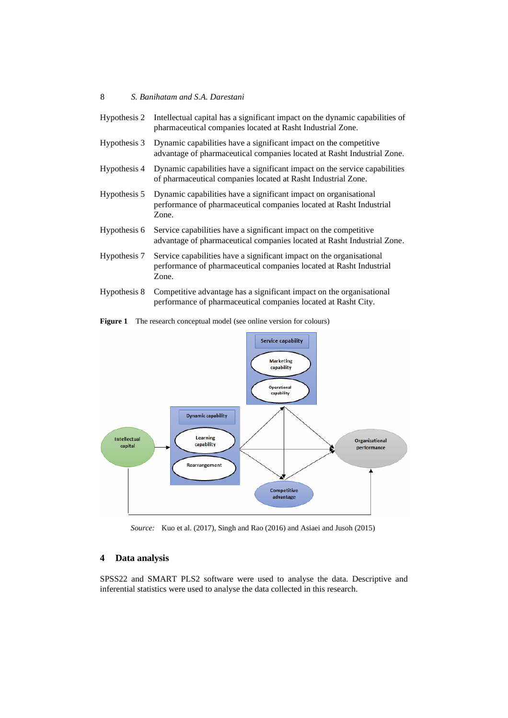| Hypothesis 2 | Intellectual capital has a significant impact on the dynamic capabilities of<br>pharmaceutical companies located at Rasht Industrial Zone.           |  |  |  |  |
|--------------|------------------------------------------------------------------------------------------------------------------------------------------------------|--|--|--|--|
| Hypothesis 3 | Dynamic capabilities have a significant impact on the competitive<br>advantage of pharmaceutical companies located at Rasht Industrial Zone.         |  |  |  |  |
| Hypothesis 4 | Dynamic capabilities have a significant impact on the service capabilities<br>of pharmaceutical companies located at Rasht Industrial Zone.          |  |  |  |  |
| Hypothesis 5 | Dynamic capabilities have a significant impact on organisational<br>performance of pharmaceutical companies located at Rasht Industrial<br>Zone.     |  |  |  |  |
| Hypothesis 6 | Service capabilities have a significant impact on the competitive<br>advantage of pharmaceutical companies located at Rasht Industrial Zone.         |  |  |  |  |
| Hypothesis 7 | Service capabilities have a significant impact on the organisational<br>performance of pharmaceutical companies located at Rasht Industrial<br>Zone. |  |  |  |  |

Hypothesis 8 Competitive advantage has a significant impact on the organisational performance of pharmaceutical companies located at Rasht City.





*Source:* Kuo et al. (2017), Singh and Rao (2016) and Asiaei and Jusoh (2015)

# **4 Data analysis**

SPSS22 and SMART PLS2 software were used to analyse the data. Descriptive and inferential statistics were used to analyse the data collected in this research.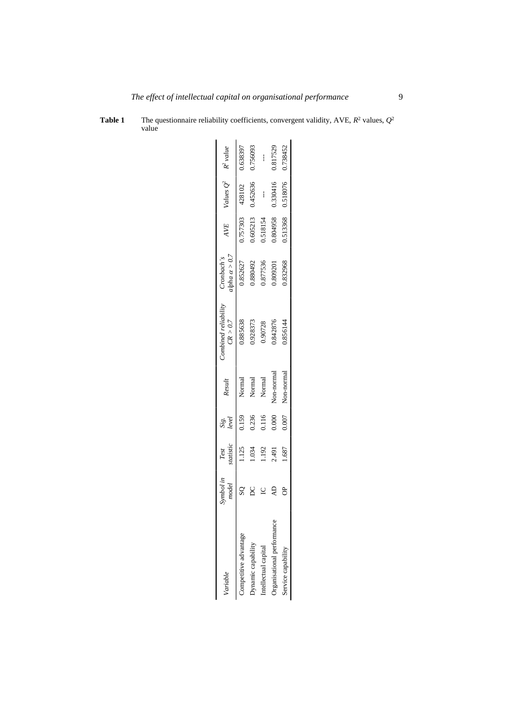| Variable                   | symbol in<br>model | Test<br>statistic | Sig.<br>level | Result     | Combined reliability<br>CR > 0.7 | $\alpha > 0.7$<br>Cronbach's | AVE      | Values $Q^2$ $R^2$ value |          |
|----------------------------|--------------------|-------------------|---------------|------------|----------------------------------|------------------------------|----------|--------------------------|----------|
| Competitive advantage      |                    | 1.125             | 0.159         | Normal     | 0.885638                         | 1.852627                     | 0.757303 | 428102                   | 0.638397 |
| <b>Dynamic capability</b>  |                    | 1.034             | 0.236         | Normal     | 1.928373                         | 1880492                      | 0.605213 | 1,452636                 | 0.756093 |
| ntellectual capital        |                    | 192               | 1116          | Normal     | 0.90728                          | 0.877536                     | 0.518154 | $\mathbf{I}$             | ļ        |
| Organisational performance |                    | 2.491             | 0.000         | Non-normal | .842876                          | 1,809201                     | 1.804958 | 0.330416                 | 0.817529 |
| service capability         |                    | 1.687             | 0.007         | Non-normal | 0.856144                         | 1,832968                     | 0.513368 | 0.518076                 | 0.738452 |
|                            |                    |                   |               |            |                                  |                              |          |                          |          |

**Table 1** The questionnaire reliability coefficients, convergent validity, AVE,  $R^2$  values,  $Q^2$ value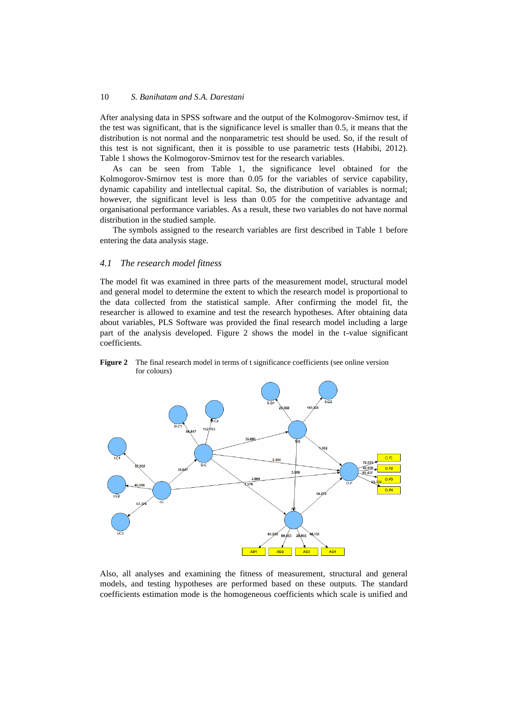After analysing data in SPSS software and the output of the Kolmogorov-Smirnov test, if the test was significant, that is the significance level is smaller than 0.5, it means that the distribution is not normal and the nonparametric test should be used. So, if the result of this test is not significant, then it is possible to use parametric tests (Habibi, 2012). Table 1 shows the Kolmogorov-Smirnov test for the research variables.

As can be seen from Table 1, the significance level obtained for the Kolmogorov-Smirnov test is more than 0.05 for the variables of service capability, dynamic capability and intellectual capital. So, the distribution of variables is normal; however, the significant level is less than 0.05 for the competitive advantage and organisational performance variables. As a result, these two variables do not have normal distribution in the studied sample.

The symbols assigned to the research variables are first described in Table 1 before entering the data analysis stage.

# *4.1 The research model fitness*

The model fit was examined in three parts of the measurement model, structural model and general model to determine the extent to which the research model is proportional to the data collected from the statistical sample. After confirming the model fit, the researcher is allowed to examine and test the research hypotheses. After obtaining data about variables, PLS Software was provided the final research model including a large part of the analysis developed. Figure 2 shows the model in the t-value significant coefficients.



**Figure 2** The final research model in terms of t significance coefficients (see online version for colours)

Also, all analyses and examining the fitness of measurement, structural and general models, and testing hypotheses are performed based on these outputs. The standard coefficients estimation mode is the homogeneous coefficients which scale is unified and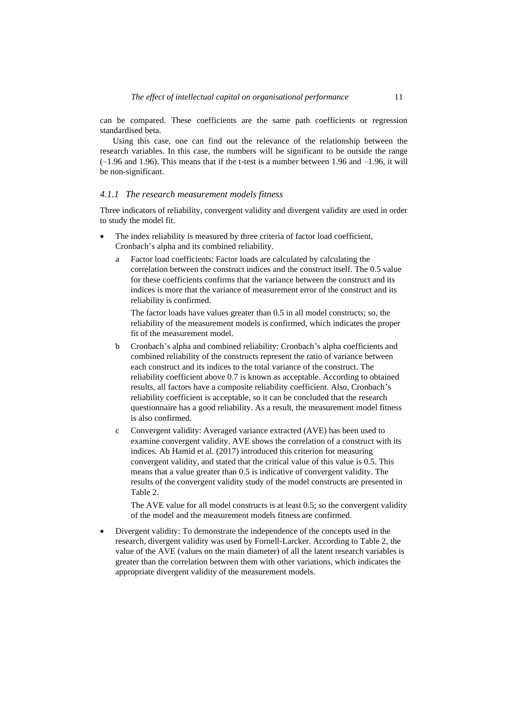can be compared. These coefficients are the same path coefficients or regression standardised beta.

Using this case, one can find out the relevance of the relationship between the research variables. In this case, the numbers will be significant to be outside the range  $(-1.96$  and 1.96). This means that if the t-test is a number between 1.96 and  $-1.96$ , it will be non-significant.

## *4.1.1 The research measurement models fitness*

Three indicators of reliability, convergent validity and divergent validity are used in order to study the model fit.

- The index reliability is measured by three criteria of factor load coefficient, Cronbach's alpha and its combined reliability.
	- a Factor load coefficients: Factor loads are calculated by calculating the correlation between the construct indices and the construct itself. The 0.5 value for these coefficients confirms that the variance between the construct and its indices is more that the variance of measurement error of the construct and its reliability is confirmed.

The factor loads have values greater than 0.5 in all model constructs; so, the reliability of the measurement models is confirmed, which indicates the proper fit of the measurement model.

- b Cronbach's alpha and combined reliability: Cronbach's alpha coefficients and combined reliability of the constructs represent the ratio of variance between each construct and its indices to the total variance of the construct. The reliability coefficient above 0.7 is known as acceptable. According to obtained results, all factors have a composite reliability coefficient. Also, Cronbach's reliability coefficient is acceptable, so it can be concluded that the research questionnaire has a good reliability. As a result, the measurement model fitness is also confirmed.
- c Convergent validity: Averaged variance extracted (AVE) has been used to examine convergent validity. AVE shows the correlation of a construct with its indices. Ab Hamid et al. (2017) introduced this criterion for measuring convergent validity, and stated that the critical value of this value is 0.5. This means that a value greater than 0.5 is indicative of convergent validity. The results of the convergent validity study of the model constructs are presented in Table 2.

The AVE value for all model constructs is at least 0.5; so the convergent validity of the model and the measurement models fitness are confirmed.

• Divergent validity: To demonstrate the independence of the concepts used in the research, divergent validity was used by Fornell-Larcker. According to Table 2, the value of the AVE (values on the main diameter) of all the latent research variables is greater than the correlation between them with other variations, which indicates the appropriate divergent validity of the measurement models.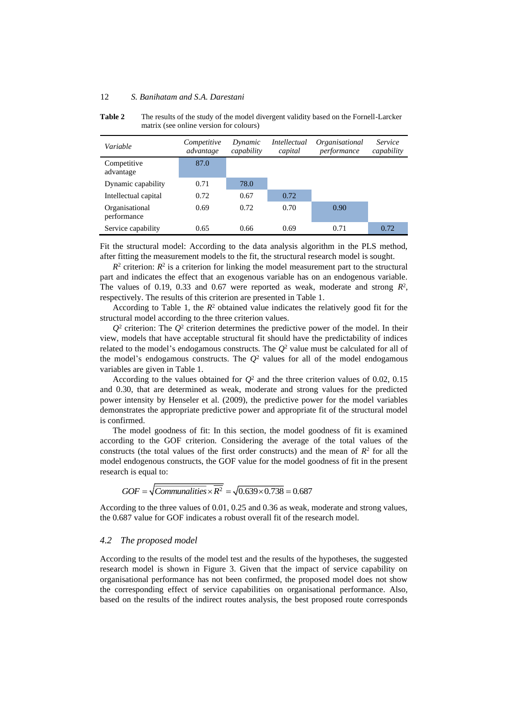| Variable                      | Competitive<br>advantage | Dynamic<br>capability | Intellectual<br>capital | Organisational<br>performance | <i>Service</i><br>capability |
|-------------------------------|--------------------------|-----------------------|-------------------------|-------------------------------|------------------------------|
| Competitive<br>advantage      | 87.0                     |                       |                         |                               |                              |
| Dynamic capability            | 0.71                     | 78.0                  |                         |                               |                              |
| Intellectual capital          | 0.72                     | 0.67                  | 0.72                    |                               |                              |
| Organisational<br>performance | 0.69                     | 0.72                  | 0.70                    | 0.90                          |                              |
| Service capability            | 0.65                     | 0.66                  | 0.69                    | 0.71                          | 0.72                         |

**Table 2** The results of the study of the model divergent validity based on the Fornell-Larcker matrix (see online version for colours)

Fit the structural model: According to the data analysis algorithm in the PLS method, after fitting the measurement models to the fit, the structural research model is sought.

 $R<sup>2</sup>$  criterion:  $R<sup>2</sup>$  is a criterion for linking the model measurement part to the structural part and indicates the effect that an exogenous variable has on an endogenous variable. The values of 0.19, 0.33 and 0.67 were reported as weak, moderate and strong  $R^2$ , respectively. The results of this criterion are presented in Table 1.

According to Table 1, the  $R^2$  obtained value indicates the relatively good fit for the structural model according to the three criterion values.

 $Q^2$  criterion: The  $Q^2$  criterion determines the predictive power of the model. In their view, models that have acceptable structural fit should have the predictability of indices related to the model's endogamous constructs. The  $Q^2$  value must be calculated for all of the model's endogamous constructs. The  $Q<sup>2</sup>$  values for all of the model endogamous variables are given in Table 1.

According to the values obtained for  $Q^2$  and the three criterion values of 0.02, 0.15 and 0.30, that are determined as weak, moderate and strong values for the predicted power intensity by Henseler et al. (2009), the predictive power for the model variables demonstrates the appropriate predictive power and appropriate fit of the structural model is confirmed.

The model goodness of fit: In this section, the model goodness of fit is examined according to the GOF criterion. Considering the average of the total values of the constructs (the total values of the first order constructs) and the mean of  $R<sup>2</sup>$  for all the model endogenous constructs, the GOF value for the model goodness of fit in the present research is equal to:

$$
GOF = \sqrt{Communications} \times \overline{R^2} = \sqrt{0.639 \times 0.738} = 0.687
$$

According to the three values of 0.01, 0.25 and 0.36 as weak, moderate and strong values, the 0.687 value for GOF indicates a robust overall fit of the research model.

#### *4.2 The proposed model*

According to the results of the model test and the results of the hypotheses, the suggested research model is shown in Figure 3. Given that the impact of service capability on organisational performance has not been confirmed, the proposed model does not show the corresponding effect of service capabilities on organisational performance. Also, based on the results of the indirect routes analysis, the best proposed route corresponds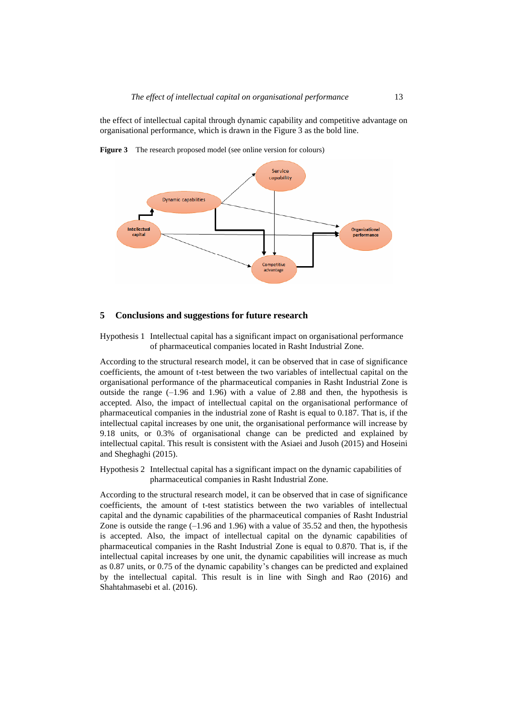the effect of intellectual capital through dynamic capability and competitive advantage on organisational performance, which is drawn in the Figure 3 as the bold line.

**Figure 3** The research proposed model (see online version for colours)



#### **5 Conclusions and suggestions for future research**

Hypothesis 1 Intellectual capital has a significant impact on organisational performance of pharmaceutical companies located in Rasht Industrial Zone.

According to the structural research model, it can be observed that in case of significance coefficients, the amount of t-test between the two variables of intellectual capital on the organisational performance of the pharmaceutical companies in Rasht Industrial Zone is outside the range  $(-1.96 \text{ and } 1.96)$  with a value of 2.88 and then, the hypothesis is accepted. Also, the impact of intellectual capital on the organisational performance of pharmaceutical companies in the industrial zone of Rasht is equal to 0.187. That is, if the intellectual capital increases by one unit, the organisational performance will increase by 9.18 units, or 0.3% of organisational change can be predicted and explained by intellectual capital. This result is consistent with the Asiaei and Jusoh (2015) and Hoseini and Sheghaghi (2015).

Hypothesis 2 Intellectual capital has a significant impact on the dynamic capabilities of pharmaceutical companies in Rasht Industrial Zone.

According to the structural research model, it can be observed that in case of significance coefficients, the amount of t-test statistics between the two variables of intellectual capital and the dynamic capabilities of the pharmaceutical companies of Rasht Industrial Zone is outside the range  $(-1.96$  and  $1.96)$  with a value of 35.52 and then, the hypothesis is accepted. Also, the impact of intellectual capital on the dynamic capabilities of pharmaceutical companies in the Rasht Industrial Zone is equal to 0.870. That is, if the intellectual capital increases by one unit, the dynamic capabilities will increase as much as 0.87 units, or 0.75 of the dynamic capability's changes can be predicted and explained by the intellectual capital. This result is in line with Singh and Rao (2016) and Shahtahmasebi et al. (2016).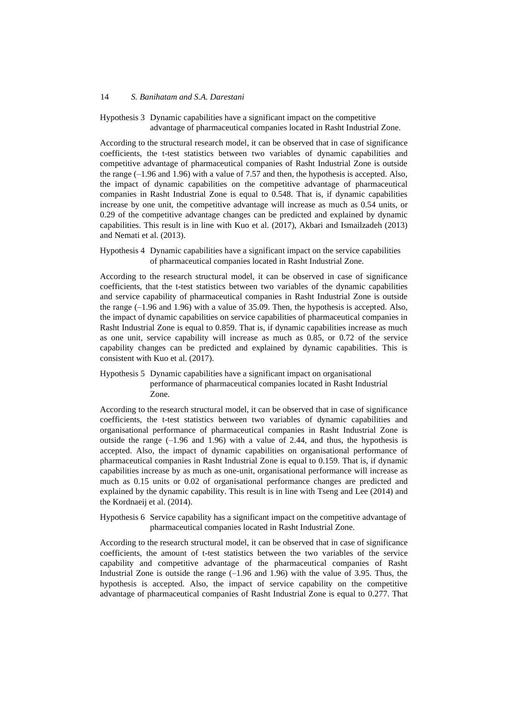Hypothesis 3 Dynamic capabilities have a significant impact on the competitive advantage of pharmaceutical companies located in Rasht Industrial Zone.

According to the structural research model, it can be observed that in case of significance coefficients, the t-test statistics between two variables of dynamic capabilities and competitive advantage of pharmaceutical companies of Rasht Industrial Zone is outside the range  $(-1.96$  and  $(1.96)$  with a value of 7.57 and then, the hypothesis is accepted. Also, the impact of dynamic capabilities on the competitive advantage of pharmaceutical companies in Rasht Industrial Zone is equal to 0.548. That is, if dynamic capabilities increase by one unit, the competitive advantage will increase as much as 0.54 units, or 0.29 of the competitive advantage changes can be predicted and explained by dynamic capabilities. This result is in line with Kuo et al. (2017), Akbari and Ismailzadeh (2013) and Nemati et al. (2013).

## Hypothesis 4 Dynamic capabilities have a significant impact on the service capabilities of pharmaceutical companies located in Rasht Industrial Zone.

According to the research structural model, it can be observed in case of significance coefficients, that the t-test statistics between two variables of the dynamic capabilities and service capability of pharmaceutical companies in Rasht Industrial Zone is outside the range (–1.96 and 1.96) with a value of 35.09. Then, the hypothesis is accepted. Also, the impact of dynamic capabilities on service capabilities of pharmaceutical companies in Rasht Industrial Zone is equal to 0.859. That is, if dynamic capabilities increase as much as one unit, service capability will increase as much as 0.85, or 0.72 of the service capability changes can be predicted and explained by dynamic capabilities. This is consistent with Kuo et al. (2017).

# Hypothesis 5 Dynamic capabilities have a significant impact on organisational performance of pharmaceutical companies located in Rasht Industrial Zone.

According to the research structural model, it can be observed that in case of significance coefficients, the t-test statistics between two variables of dynamic capabilities and organisational performance of pharmaceutical companies in Rasht Industrial Zone is outside the range  $(-1.96 \text{ and } 1.96)$  with a value of 2.44, and thus, the hypothesis is accepted. Also, the impact of dynamic capabilities on organisational performance of pharmaceutical companies in Rasht Industrial Zone is equal to 0.159. That is, if dynamic capabilities increase by as much as one-unit, organisational performance will increase as much as 0.15 units or 0.02 of organisational performance changes are predicted and explained by the dynamic capability. This result is in line with Tseng and Lee (2014) and the Kordnaeij et al. (2014).

# Hypothesis 6 Service capability has a significant impact on the competitive advantage of pharmaceutical companies located in Rasht Industrial Zone.

According to the research structural model, it can be observed that in case of significance coefficients, the amount of t-test statistics between the two variables of the service capability and competitive advantage of the pharmaceutical companies of Rasht Industrial Zone is outside the range  $(-1.96$  and  $1.96)$  with the value of 3.95. Thus, the hypothesis is accepted. Also, the impact of service capability on the competitive advantage of pharmaceutical companies of Rasht Industrial Zone is equal to 0.277. That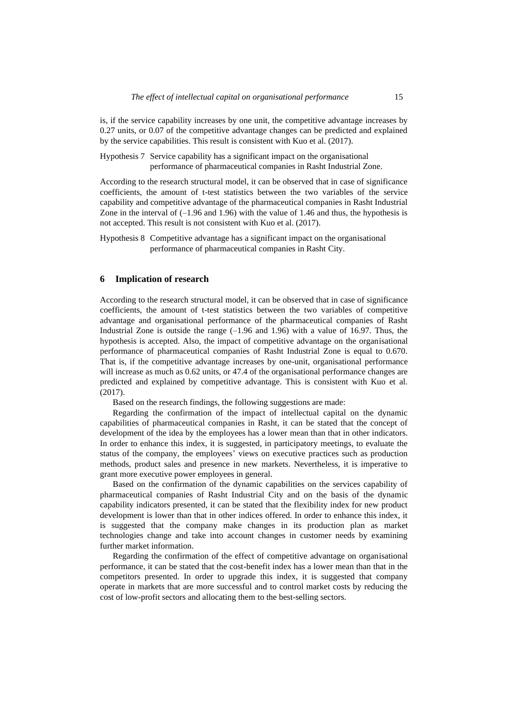is, if the service capability increases by one unit, the competitive advantage increases by 0.27 units, or 0.07 of the competitive advantage changes can be predicted and explained by the service capabilities. This result is consistent with Kuo et al. (2017).

Hypothesis 7 Service capability has a significant impact on the organisational performance of pharmaceutical companies in Rasht Industrial Zone.

According to the research structural model, it can be observed that in case of significance coefficients, the amount of t-test statistics between the two variables of the service capability and competitive advantage of the pharmaceutical companies in Rasht Industrial Zone in the interval of  $(-1.96 \text{ and } 1.96)$  with the value of 1.46 and thus, the hypothesis is not accepted. This result is not consistent with Kuo et al. (2017).

Hypothesis 8 Competitive advantage has a significant impact on the organisational performance of pharmaceutical companies in Rasht City.

# **6 Implication of research**

According to the research structural model, it can be observed that in case of significance coefficients, the amount of t-test statistics between the two variables of competitive advantage and organisational performance of the pharmaceutical companies of Rasht Industrial Zone is outside the range  $(-1.96$  and  $1.96)$  with a value of 16.97. Thus, the hypothesis is accepted. Also, the impact of competitive advantage on the organisational performance of pharmaceutical companies of Rasht Industrial Zone is equal to 0.670. That is, if the competitive advantage increases by one-unit, organisational performance will increase as much as 0.62 units, or 47.4 of the organisational performance changes are predicted and explained by competitive advantage. This is consistent with Kuo et al. (2017).

Based on the research findings, the following suggestions are made:

Regarding the confirmation of the impact of intellectual capital on the dynamic capabilities of pharmaceutical companies in Rasht, it can be stated that the concept of development of the idea by the employees has a lower mean than that in other indicators. In order to enhance this index, it is suggested, in participatory meetings, to evaluate the status of the company, the employees' views on executive practices such as production methods, product sales and presence in new markets. Nevertheless, it is imperative to grant more executive power employees in general.

Based on the confirmation of the dynamic capabilities on the services capability of pharmaceutical companies of Rasht Industrial City and on the basis of the dynamic capability indicators presented, it can be stated that the flexibility index for new product development is lower than that in other indices offered. In order to enhance this index, it is suggested that the company make changes in its production plan as market technologies change and take into account changes in customer needs by examining further market information.

Regarding the confirmation of the effect of competitive advantage on organisational performance, it can be stated that the cost-benefit index has a lower mean than that in the competitors presented. In order to upgrade this index, it is suggested that company operate in markets that are more successful and to control market costs by reducing the cost of low-profit sectors and allocating them to the best-selling sectors.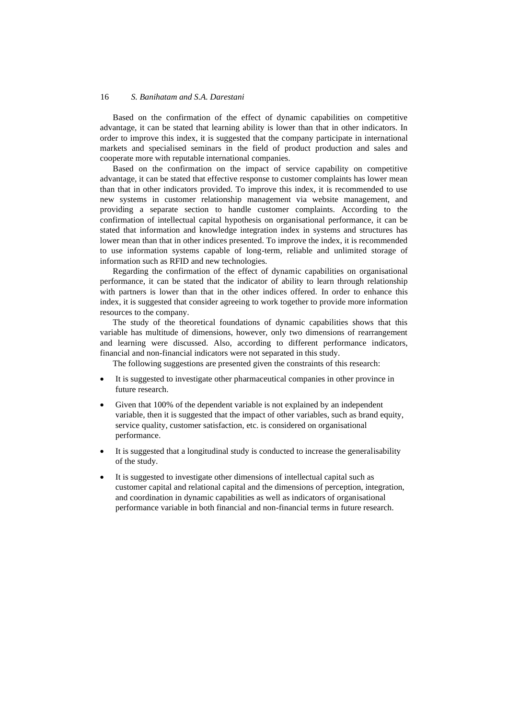Based on the confirmation of the effect of dynamic capabilities on competitive advantage, it can be stated that learning ability is lower than that in other indicators. In order to improve this index, it is suggested that the company participate in international markets and specialised seminars in the field of product production and sales and cooperate more with reputable international companies.

Based on the confirmation on the impact of service capability on competitive advantage, it can be stated that effective response to customer complaints has lower mean than that in other indicators provided. To improve this index, it is recommended to use new systems in customer relationship management via website management, and providing a separate section to handle customer complaints. According to the confirmation of intellectual capital hypothesis on organisational performance, it can be stated that information and knowledge integration index in systems and structures has lower mean than that in other indices presented. To improve the index, it is recommended to use information systems capable of long-term, reliable and unlimited storage of information such as RFID and new technologies.

Regarding the confirmation of the effect of dynamic capabilities on organisational performance, it can be stated that the indicator of ability to learn through relationship with partners is lower than that in the other indices offered. In order to enhance this index, it is suggested that consider agreeing to work together to provide more information resources to the company.

The study of the theoretical foundations of dynamic capabilities shows that this variable has multitude of dimensions, however, only two dimensions of rearrangement and learning were discussed. Also, according to different performance indicators, financial and non-financial indicators were not separated in this study.

The following suggestions are presented given the constraints of this research:

- It is suggested to investigate other pharmaceutical companies in other province in future research.
- Given that 100% of the dependent variable is not explained by an independent variable, then it is suggested that the impact of other variables, such as brand equity, service quality, customer satisfaction, etc. is considered on organisational performance.
- It is suggested that a longitudinal study is conducted to increase the generalisability of the study.
- It is suggested to investigate other dimensions of intellectual capital such as customer capital and relational capital and the dimensions of perception, integration, and coordination in dynamic capabilities as well as indicators of organisational performance variable in both financial and non-financial terms in future research.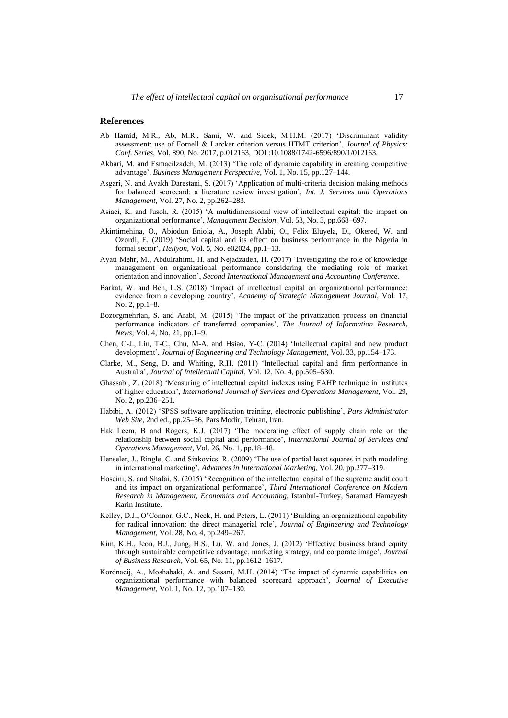#### **References**

- Ab Hamid, M.R., Ab, M.R., Sami, W. and Sidek, M.H.M. (2017) 'Discriminant validity assessment: use of Fornell & Larcker criterion versus HTMT criterion', *Journal of Physics: Conf. Series*, Vol. 890, No. 2017, p.012163, DOI :10.1088/1742-6596/890/1/012163.
- Akbari, M. and Esmaeilzadeh, M. (2013) 'The role of dynamic capability in creating competitive advantage', *Business Management Perspective*, Vol. 1, No. 15, pp.127–144.
- Asgari, N. and Avakh Darestani, S. (2017) 'Application of multi-criteria decision making methods for balanced scorecard: a literature review investigation', *Int. J. Services and Operations Management*, Vol. 27, No. 2, pp.262–283.
- Asiaei, K. and Jusoh, R. (2015) 'A multidimensional view of intellectual capital: the impact on organizational performance', *Management Decision*, Vol. 53, No. 3, pp.668–697.
- Akintimehina, O., Abiodun Eniola, A., Joseph Alabi, O., Felix Eluyela, D., Okered, W. and Ozordi, E. (2019) 'Social capital and its effect on business performance in the Nigeria in formal sector', *Heliyon*, Vol. 5, No. e02024, pp.1–13.
- Ayati Mehr, M., Abdulrahimi, H. and Nejadzadeh, H. (2017) 'Investigating the role of knowledge management on organizational performance considering the mediating role of market orientation and innovation', *Second International Management and Accounting Conference*.
- Barkat, W. and Beh, L.S. (2018) 'Impact of intellectual capital on organizational performance: evidence from a developing country', *Academy of Strategic Management Journal*, Vol. 17, No. 2, pp.1–8.
- Bozorgmehrian, S. and Arabi, M. (2015) 'The impact of the privatization process on financial performance indicators of transferred companies', *The Journal of Information Research, News*, Vol. 4, No. 21, pp.1–9.
- Chen, C-J., Liu, T-C., Chu, M-A. and Hsiao, Y-C. (2014) 'Intellectual capital and new product development', *Journal of Engineering and Technology Management*, Vol. 33, pp.154–173.
- Clarke, M., Seng, D. and Whiting, R.H. (2011) 'Intellectual capital and firm performance in Australia', *Journal of Intellectual Capital*, Vol. 12, No. 4, pp.505–530.
- Ghassabi, Z. (2018) 'Measuring of intellectual capital indexes using FAHP technique in institutes of higher education', *International Journal of Services and Operations Management,* Vol. 29, No. 2, pp.236–251.
- Habibi, A. (2012) 'SPSS software application training, electronic publishing', *Pars Administrator Web Site*, 2nd ed., pp.25–56, Pars Modir, Tehran, Iran.
- Hak Leem, B and Rogers, K.J. (2017) 'The moderating effect of supply chain role on the relationship between social capital and performance', *International Journal of Services and Operations Management*, Vol. 26, No. 1, pp.18–48.
- Henseler, J., Ringle, C. and Sinkovics, R. (2009) 'The use of partial least squares in path modeling in international marketing', *Advances in International Marketing*, Vol. 20, pp.277–319.
- Hoseini, S. and Shafai, S. (2015) 'Recognition of the intellectual capital of the supreme audit court and its impact on organizational performance', *Third International Conference on Modern Research in Management, Economics and Accounting*, Istanbul-Turkey, Saramad Hamayesh Karin Institute.
- Kelley, D.J., O'Connor, G.C., Neck, H. and Peters, L. (2011) 'Building an organizational capability for radical innovation: the direct managerial role', *Journal of Engineering and Technology Management*, Vol. 28, No. 4, pp.249–267.
- Kim, K.H., Jeon, B.J., Jung, H.S., Lu, W. and Jones, J. (2012) 'Effective business brand equity through sustainable competitive advantage, marketing strategy, and corporate image', *Journal of Business Research*, Vol. 65, No. 11, pp.1612–1617.
- Kordnaeij, A., Moshabaki, A. and Sasani, M.H. (2014) 'The impact of dynamic capabilities on organizational performance with balanced scorecard approach', *Journal of Executive Management*, Vol. 1, No. 12, pp.107–130.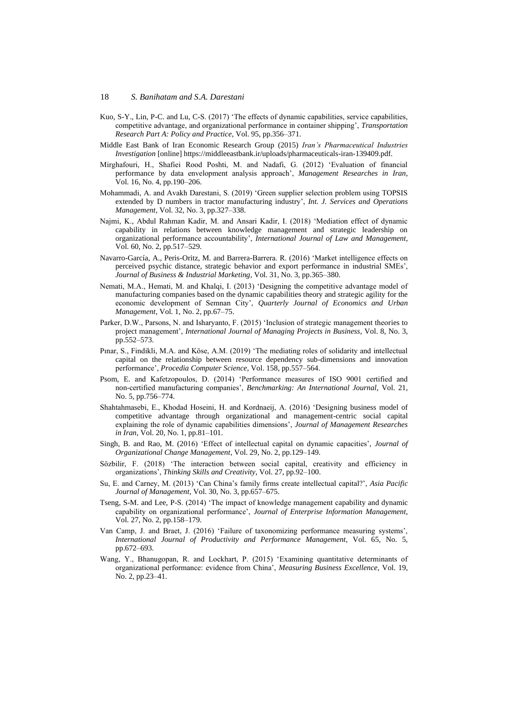- Kuo, S-Y., Lin, P-C. and Lu, C-S. (2017) 'The effects of dynamic capabilities, service capabilities, competitive advantage, and organizational performance in container shipping', *Transportation Research Part A: Policy and Practice*, Vol. 95, pp.356–371.
- Middle East Bank of Iran Economic Research Group (2015) *Iran's Pharmaceutical Industries Investigation* [online] https://middleeastbank.ir/uploads/pharmaceuticals-iran-139409.pdf.
- Mirghafouri, H., Shafiei Rood Poshti, M. and Nadafi, G. (2012) 'Evaluation of financial performance by data envelopment analysis approach', *Management Researches in Iran*, Vol. 16, No. 4, pp.190–206.
- Mohammadi, A. and Avakh Darestani, S. (2019) 'Green supplier selection problem using TOPSIS extended by D numbers in tractor manufacturing industry', *Int. J. Services and Operations Management*, Vol. 32, No. 3, pp.327–338.
- Najmi, K., Abdul Rahman Kadir, M. and Ansari Kadir, I. (2018) 'Mediation effect of dynamic capability in relations between knowledge management and strategic leadership on organizational performance accountability', *International Journal of Law and Management*, Vol. 60, No. 2, pp.517–529.
- Navarro-García, A., Peris-Oritz, M. and Barrera-Barrera. R. (2016) 'Market intelligence effects on perceived psychic distance, strategic behavior and export performance in industrial SMEs', *Journal of Business & Industrial Marketing*, Vol. 31, No. 3, pp.365–380.
- Nemati, M.A., Hemati, M. and Khalqi, I. (2013) 'Designing the competitive advantage model of manufacturing companies based on the dynamic capabilities theory and strategic agility for the economic development of Semnan City', *Quarterly Journal of Economics and Urban Management*, Vol. 1, No. 2, pp.67–75.
- Parker, D.W., Parsons, N. and Isharyanto, F. (2015) 'Inclusion of strategic management theories to project management', *International Journal of Managing Projects in Business*, Vol. 8, No. 3, pp.552–573.
- Pınar, S., Findikli, M.A. and Köse, A.M. (2019) 'The mediating roles of solidarity and intellectual capital on the relationship between resource dependency sub-dimensions and innovation performance', *Procedia Computer Science*, Vol. 158, pp.557–564.
- Psom, E. and Kafetzopoulos, D. (2014) 'Performance measures of ISO 9001 certified and non-certified manufacturing companies', *Benchmarking: An International Journal*, Vol. 21, No. 5, pp.756–774.
- Shahtahmasebi, E., Khodad Hoseini, H. and Kordnaeij, A. (2016) 'Designing business model of competitive advantage through organizational and management-centric social capital explaining the role of dynamic capabilities dimensions', *Journal of Management Researches in Iran*, Vol. 20, No. 1, pp.81–101.
- Singh, B. and Rao, M. (2016) 'Effect of intellectual capital on dynamic capacities', *Journal of Organizational Change Management*, Vol. 29, No. 2, pp.129–149.
- Sözbilir, F. (2018) 'The interaction between social capital, creativity and efficiency in organizations', *Thinking Skills and Creativity*, Vol. 27, pp.92–100.
- Su, E. and Carney, M. (2013) 'Can China's family firms create intellectual capital?', *Asia Pacific Journal of Management*, Vol. 30, No. 3, pp.657–675.
- Tseng, S-M. and Lee, P-S. (2014) 'The impact of knowledge management capability and dynamic capability on organizational performance', *Journal of Enterprise Information Management*, Vol. 27, No. 2, pp.158–179.
- Van Camp, J. and Braet, J. (2016) 'Failure of taxonomizing performance measuring systems', *International Journal of Productivity and Performance Management*, Vol. 65, No. 5, pp.672–693.
- Wang, Y., Bhanugopan, R. and Lockhart, P. (2015) 'Examining quantitative determinants of organizational performance: evidence from China', *Measuring Business Excellence*, Vol. 19, No. 2, pp.23–41.